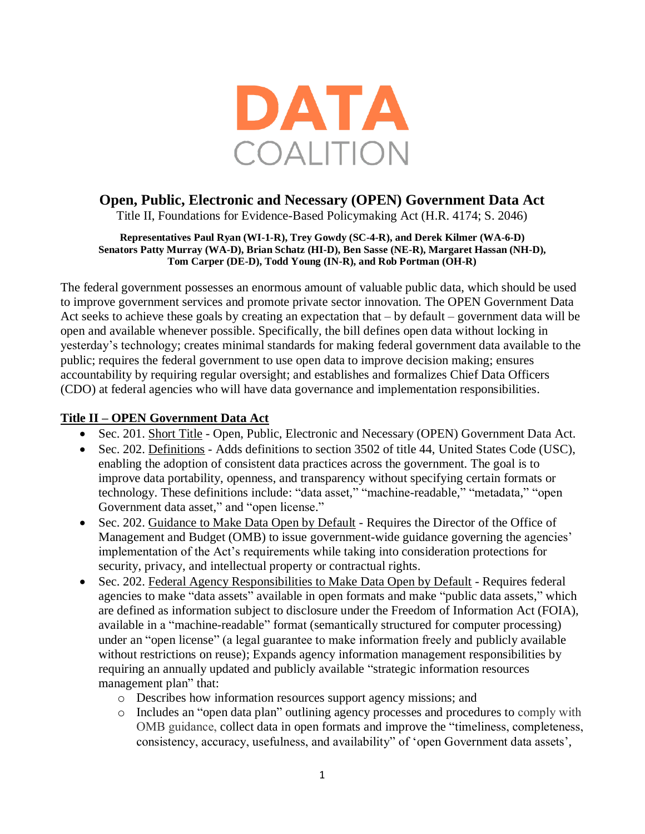

## **Open, Public, Electronic and Necessary (OPEN) Government Data Act**

Title II, Foundations for Evidence-Based Policymaking Act (H.R. 4174; S. 2046)

## **Representatives Paul Ryan (WI-1-R), Trey Gowdy (SC-4-R), and Derek Kilmer (WA-6-D) Senators Patty Murray (WA-D), Brian Schatz (HI-D), Ben Sasse (NE-R), Margaret Hassan (NH-D), Tom Carper (DE-D), Todd Young (IN-R), and Rob Portman (OH-R)**

The federal government possesses an enormous amount of valuable public data, which should be used to improve government services and promote private sector innovation. The OPEN Government Data Act seeks to achieve these goals by creating an expectation that – by default – government data will be open and available whenever possible. Specifically, the bill defines open data without locking in yesterday's technology; creates minimal standards for making federal government data available to the public; requires the federal government to use open data to improve decision making; ensures accountability by requiring regular oversight; and establishes and formalizes Chief Data Officers (CDO) at federal agencies who will have data governance and implementation responsibilities.

## **Title II – OPEN Government Data Act**

- Sec. 201. Short Title Open, Public, Electronic and Necessary (OPEN) Government Data Act.
- Sec. 202. Definitions Adds definitions to section 3502 of title 44, United States Code (USC), enabling the adoption of consistent data practices across the government. The goal is to improve data portability, openness, and transparency without specifying certain formats or technology. These definitions include: "data asset," "machine-readable," "metadata," "open Government data asset," and "open license."
- Sec. 202. Guidance to Make Data Open by Default Requires the Director of the Office of Management and Budget (OMB) to issue government-wide guidance governing the agencies' implementation of the Act's requirements while taking into consideration protections for security, privacy, and intellectual property or contractual rights.
- Sec. 202. Federal Agency Responsibilities to Make Data Open by Default Requires federal agencies to make "data assets" available in open formats and make "public data assets," which are defined as information subject to disclosure under the Freedom of Information Act (FOIA), available in a "machine-readable" format (semantically structured for computer processing) under an "open license" (a legal guarantee to make information freely and publicly available without restrictions on reuse); Expands agency information management responsibilities by requiring an annually updated and publicly available "strategic information resources management plan" that:
	- o Describes how information resources support agency missions; and
	- o Includes an "open data plan" outlining agency processes and procedures to comply with OMB guidance, collect data in open formats and improve the "timeliness, completeness, consistency, accuracy, usefulness, and availability" of 'open Government data assets',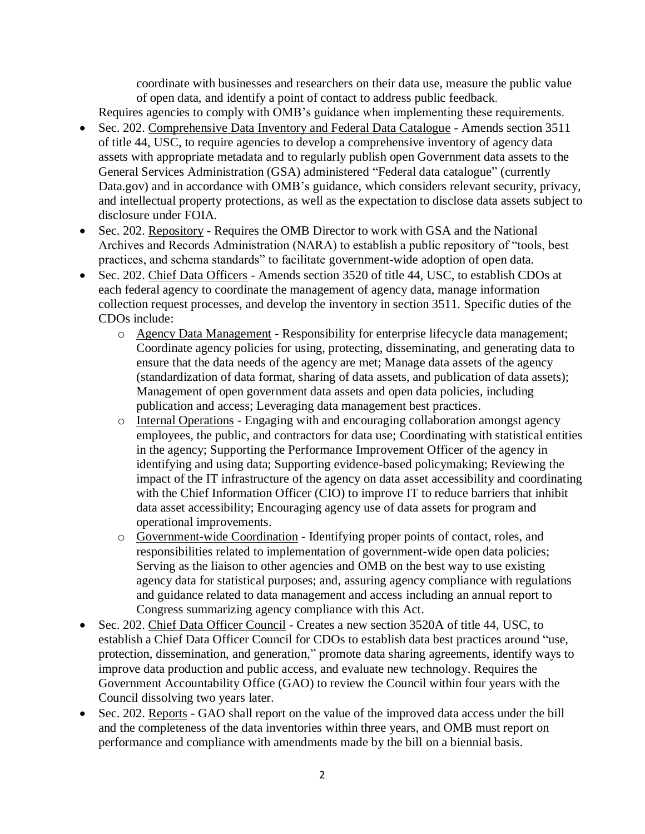coordinate with businesses and researchers on their data use, measure the public value of open data, and identify a point of contact to address public feedback.

Requires agencies to comply with OMB's guidance when implementing these requirements.

- Sec. 202. Comprehensive Data Inventory and Federal Data Catalogue Amends section 3511 of title 44, USC, to require agencies to develop a comprehensive inventory of agency data assets with appropriate metadata and to regularly publish open Government data assets to the General Services Administration (GSA) administered "Federal data catalogue" (currently Data.gov) and in accordance with OMB's guidance, which considers relevant security, privacy, and intellectual property protections, as well as the expectation to disclose data assets subject to disclosure under FOIA.
- Sec. 202. Repository Requires the OMB Director to work with GSA and the National Archives and Records Administration (NARA) to establish a public repository of "tools, best practices, and schema standards" to facilitate government-wide adoption of open data.
- Sec. 202. Chief Data Officers Amends section 3520 of title 44, USC, to establish CDOs at each federal agency to coordinate the management of agency data, manage information collection request processes, and develop the inventory in section 3511. Specific duties of the CDOs include:
	- o Agency Data Management Responsibility for enterprise lifecycle data management; Coordinate agency policies for using, protecting, disseminating, and generating data to ensure that the data needs of the agency are met; Manage data assets of the agency (standardization of data format, sharing of data assets, and publication of data assets); Management of open government data assets and open data policies, including publication and access; Leveraging data management best practices.
	- o Internal Operations Engaging with and encouraging collaboration amongst agency employees, the public, and contractors for data use; Coordinating with statistical entities in the agency; Supporting the Performance Improvement Officer of the agency in identifying and using data; Supporting evidence-based policymaking; Reviewing the impact of the IT infrastructure of the agency on data asset accessibility and coordinating with the Chief Information Officer (CIO) to improve IT to reduce barriers that inhibit data asset accessibility; Encouraging agency use of data assets for program and operational improvements.
	- o Government-wide Coordination Identifying proper points of contact, roles, and responsibilities related to implementation of government-wide open data policies; Serving as the liaison to other agencies and OMB on the best way to use existing agency data for statistical purposes; and, assuring agency compliance with regulations and guidance related to data management and access including an annual report to Congress summarizing agency compliance with this Act.
- Sec. 202. Chief Data Officer Council Creates a new section 3520A of title 44, USC, to establish a Chief Data Officer Council for CDOs to establish data best practices around "use, protection, dissemination, and generation," promote data sharing agreements, identify ways to improve data production and public access, and evaluate new technology. Requires the Government Accountability Office (GAO) to review the Council within four years with the Council dissolving two years later.
- Sec. 202. Reports GAO shall report on the value of the improved data access under the bill and the completeness of the data inventories within three years, and OMB must report on performance and compliance with amendments made by the bill on a biennial basis.